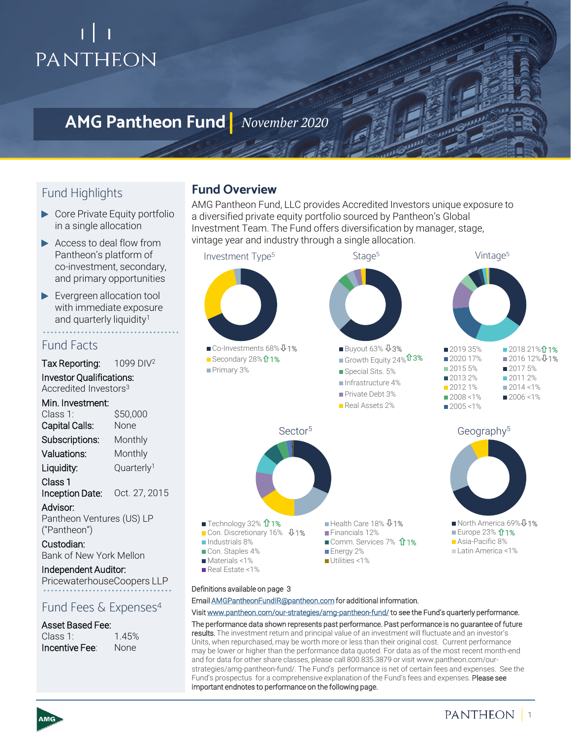# PANTHEON

## **AMG Pantheon Fund** *November 2020*

## Fund Highlights

- ▶ Core Private Equity portfolio in a single allocation
- Access to deal flow from Pantheon's platform of co-investment, secondary, and primary opportunities
- Evergreen allocation tool with immediate exposure and quarterly liquidity<sup>1</sup>

## Fund Facts

Tax Reporting: 1099 DIV<sup>2</sup>

Investor Qualifications: Accredited Investors3

### Min. Investment:

| Class 1:           | \$50,000               |
|--------------------|------------------------|
| Capital Calls:     | None                   |
| Subscriptions:     | Monthly                |
| Valuations:        | Monthly                |
| Liquidity:         | Quarterly <sup>1</sup> |
| Class <sub>1</sub> |                        |

Inception Date: Oct. 27, 2015 Advisor:

Pantheon Ventures (US) LP ("Pantheon")

### Custodian:

Bank of New York Mellon

## Independent Auditor:

PricewaterhouseCoopers LLP

## Fund Fees & Expenses<sup>4</sup>

### Asset Based Fee:

| Class 1:       | 1.45% |
|----------------|-------|
| Incentive Fee: | None  |

## **Fund Overview**

AMG Pantheon Fund, LLC provides Accredited Investors unique exposure to a diversified private equity portfolio sourced by Pantheon's Global Investment Team. The Fund offers diversification by manager, stage, vintage year and industry through a single allocation.



#### Definitions available on page 3

Email [AMGPantheonFundIR@pantheon.com](mailto:AMGPantheonFundIR@pantheon.com) for additional information.

Visit [www.pantheon.com/our-strategies/amg-pantheon-fund/](http://www.pantheon.com/our-strategies/amg-pantheon-fund/) to see the Fund's quarterly performance. The performance data shown represents past performance. Past performance is no guarantee of future results. The investment return and principal value of an investment will fluctuate and an investor's Units, when repurchased, may be worth more or less than their original cost. Current performance may be lower or higher than the performance data quoted. For data as of the most recent month-end and for data for other share classes, please call 800.835.3879 or visit www.pantheon.com/ourstrategies/amg-pantheon-fund/. The Fund's performance is net of certain fees and expenses. See the Fund's prospectus for a comprehensive explanation of the Fund's fees and expenses. Please see important endnotes to performance on the following page.

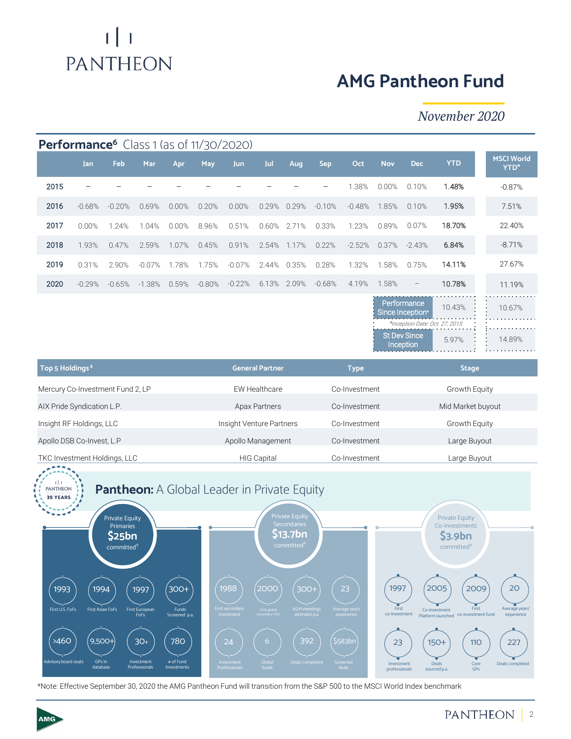# $\lfloor \cdot \rfloor$ PANTHEON

# **AMG Pantheon Fund**

## *November 2020*

| <b>Performance<sup>6</sup></b> Class 1 (as of 11/30/2020)             |                                                      |          |                        |       |                                    |                    |               |               |               |          |               |                                                                                                       |                 |                                  |
|-----------------------------------------------------------------------|------------------------------------------------------|----------|------------------------|-------|------------------------------------|--------------------|---------------|---------------|---------------|----------|---------------|-------------------------------------------------------------------------------------------------------|-----------------|----------------------------------|
|                                                                       | Jan                                                  | Feb      | Mar                    | Apr   | May                                | <b>Jun</b>         | Jul           | Aug           | Sep           | Oct      | <b>Nov</b>    | <b>Dec</b>                                                                                            | <b>YTD</b>      | <b>MSCI World</b><br><b>YTD*</b> |
| 2015                                                                  |                                                      |          |                        |       |                                    |                    |               |               |               | 1.38%    | 0.00%         | 0.10%                                                                                                 | 1.48%           | $-0.87%$                         |
| 2016                                                                  | $-0.68%$                                             | $-0.20%$ | 0.69%                  | 0.00% | 0.20%                              | 0.00%              | 0.29%         | 0.29%         | $-0.10%$      | $-0.48%$ | 1.85%         | 0.10%                                                                                                 | 1.95%           | 7.51%                            |
| 2017                                                                  | 0.00%                                                | 1.24%    | 1.04%                  | 0.00% | 8.96%                              | 0.51%              | 0.60%         | 2.71%         | 0.33%         | 1.23%    | 0.89%         | 0.07%                                                                                                 | 18.70%          | 22.40%                           |
| 2018                                                                  | 1.93%                                                | 0.47%    | 2.59%                  | 1.07% | 0.45%                              | 0.91%              | 2.54%         | 1.17%         | 0.22%         | $-2.52%$ | 0.37%         | $-2.43%$                                                                                              | 6.84%           | $-8.71%$                         |
| 2019                                                                  | 0.31%                                                | 2.90%    | $-0.07%$               | 1.78% | 1.75%                              | $-0.07%$           | 2.44%         | 0.35%         | 0.28%         | 1.32%    | 1.58%         | 0.75%                                                                                                 | 14.11%          | 27.67%                           |
| 2020                                                                  | $-0.29%$                                             | $-0.65%$ | $-1.38%$               | 0.59% | $-0.80%$                           | $-0.22%$           | 6.13%         | 2.09%         | $-0.68%$      | 4.19%    | 1.58%         |                                                                                                       | 10.78%          | 11.19%                           |
|                                                                       |                                                      |          |                        |       |                                    |                    |               |               |               |          |               | Performance<br>Since Inception*<br>*Inception Date: Oct. 27, 2015<br><b>St Dev Since</b><br>Inception | 10.43%<br>5.97% | 10.67%<br>14.89%                 |
| Top 5 Holdings <sup>8</sup>                                           |                                                      |          | <b>General Partner</b> |       |                                    | <b>Type</b>        |               |               | <b>Stage</b>  |          |               |                                                                                                       |                 |                                  |
| Mercury Co-Investment Fund 2, LP<br><b>EW Healthcare</b>              |                                                      |          |                        |       |                                    |                    |               | Co-Investment |               |          | Growth Equity |                                                                                                       |                 |                                  |
|                                                                       | Apax Partners<br>AIX Pride Syndication L.P.          |          |                        |       |                                    |                    |               | Co-Investment |               |          |               | Mid Market buyout                                                                                     |                 |                                  |
|                                                                       | Insight Venture Partners<br>Insight RF Holdings, LLC |          |                        |       |                                    |                    | Co-Investment |               |               |          | Growth Equity |                                                                                                       |                 |                                  |
| Apollo DSB Co-Invest, L.P                                             |                                                      |          |                        |       | Apollo Management<br>Co-Investment |                    |               |               | Large Buyout  |          |               |                                                                                                       |                 |                                  |
| TKC Investment Holdings, LLC                                          |                                                      |          |                        |       |                                    | <b>HIG Capital</b> |               |               | Co-Investment |          |               | Large Buyout                                                                                          |                 |                                  |
| <b>Pantheon:</b> A Global Leader in Private Equity<br><b>PANTHEON</b> |                                                      |          |                        |       |                                    |                    |               |               |               |          |               |                                                                                                       |                 |                                  |



\*Note: Effective September 30, 2020 the AMG Pantheon Fund will transition from the S&P 500 to the MSCI World Index benchmark

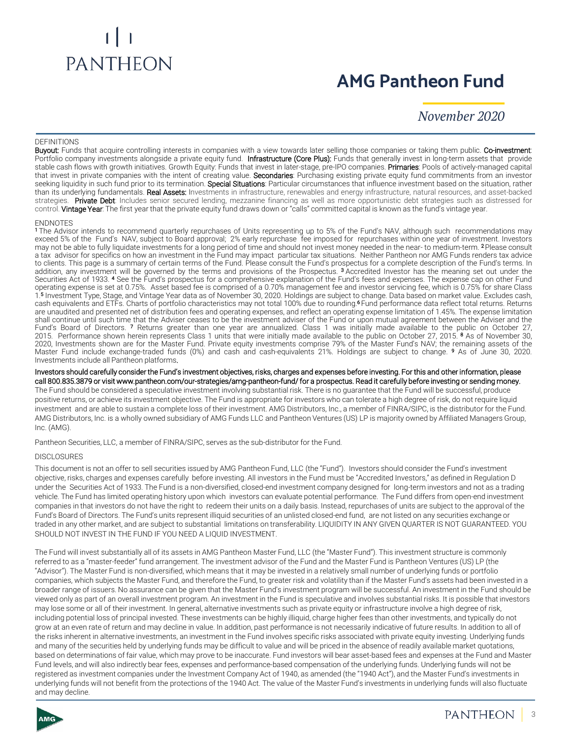# **PANTHEON**

# **AMG Pantheon Fund**

*November 2020*

#### **DEFINITIONS**

Buyout: Funds that acquire controlling interests in companies with a view towards later selling those companies or taking them public. Co-investment: Portfolio company investments alongside a private equity fund. Infrastructure (Core Plus): Funds that generally invest in long-term assets that provide stable cash flows with growth initiatives. Growth Equity: Funds that invest in later-stage, pre-IPO companies. Primaries: Pools of actively-managed capital that invest in private companies with the intent of creating value. Secondaries: Purchasing existing private equity fund commitments from an investor seeking liquidity in such fund prior to its termination. Special Situations: Particular circumstances that influence investment based on the situation, rather than its underlying fundamentals. Real Assets: Investments in infrastructure, renewables and energy infrastructure, natural resources, and asset-backed strategies. Private Debt: Includes senior secured lending, mezzanine financing as well as more opportunistic debt strategies such as distressed for control. Vintage Year: The first year that the private equity fund draws down or "calls" committed capital is known as the fund's vintage year.

#### **ENDNOTES**

<sup>1</sup> The Advisor intends to recommend quarterly repurchases of Units representing up to 5% of the Fund's NAV, although such recommendations may exceed 5% of the Fund's NAV, subject to Board approval; 2% early repurchase fee imposed for repurchases within one year of investment. Investors may not be able to fully liquidate investments for a long period of time and should not invest money needed in the near- to medium-term. 2Please consult a tax advisor for specifics on how an investment in the Fund may impact particular tax situations. Neither Pantheon nor AMG Funds renders tax advice to clients. This page is a summary of certain terms of the Fund. Please consult the Fund's prospectus for a complete description of the Fund's terms. In addition, any investment will be governed by the terms and provisions of the Prospectus. <sup>3</sup> Accredited Investor has the meaning set out under the Securities Act of 1933. <sup>4</sup> See the Fund's prospectus for a comprehensive explanation of the Fund's fees and expenses. The expense cap on other Fund operating expense is set at 0.75%. Asset based fee is comprised of a 0.70% management fee and investor servicing fee, which is 0.75% for share Class 1. <sup>5</sup> Investment Type, Stage, and Vintage Year data as of November 30, 2020. Holdings are subject to change. Data based on market value. Excludes cash, cash equivalents and ETFs. Charts of portfolio characteristics may not total 100% due to rounding. <sup>6</sup> Fund performance data reflect total returns. Returns are unaudited and presented net of distribution fees and operating expenses, and reflect an operating expense limitation of 1.45%. The expense limitation shall continue until such time that the Adviser ceases to be the investment adviser of the Fund or upon mutual agreement between the Adviser and the Fund's Board of Directors. <sup>7</sup> Returns greater than one year are annualized. Class 1 was initially made available to the public on October 27, 2015. Performance shown herein represents Class 1 units that were initially made available to the public on October 27, 2015. <sup>8</sup> As of November 30, 2020, Investments shown are for the Master Fund. Private equity investments comprise 79% of the Master Fund's NAV; the remaining assets of the Master Fund include exchange-traded funds (0%) and cash and cash-equivalents 21%. Holdings are subject to change. **9** As of June 30, 2020. Investments include all Pantheon platforms.

Investors should carefully consider the Fund's investment objectives, risks, charges and expenses before investing. For this and other information, please call 800.835.3879 or visit www.pantheon.com/our-strategies/amg-pantheon-fund/ for a prospectus. Read it carefully before investing or sending money. The Fund should be considered a speculative investment involving substantial risk. There is no guarantee that the Fund will be successful, produce positive returns, or achieve its investment objective. The Fund is appropriate for investors who can tolerate a high degree of risk, do not require liquid investment and are able to sustain a complete loss of their investment. AMG Distributors, Inc., a member of FINRA/SIPC, is the distributor for the Fund. AMG Distributors, Inc. is a wholly owned subsidiary of AMG Funds LLC and Pantheon Ventures (US) LP is majority owned by Affiliated Managers Group, Inc. (AMG).

Pantheon Securities, LLC, a member of FINRA/SIPC, serves as the sub-distributor for the Fund.

#### **DISCLOSURES**

This document is not an offer to sell securities issued by AMG Pantheon Fund, LLC (the "Fund"). Investors should consider the Fund's investment objective, risks, charges and expenses carefully before investing. All investors in the Fund must be "Accredited Investors," as defined in Regulation D under the Securities Act of 1933. The Fund is a non-diversified, closed-end investment company designed for long-term investors and not as a trading vehicle. The Fund has limited operating history upon which investors can evaluate potential performance. The Fund differs from open-end investment companies in that investors do not have the right to redeem their units on a daily basis. Instead, repurchases of units are subject to the approval of the Fund's Board of Directors. The Fund's units represent illiquid securities of an unlisted closed-end fund, are not listed on any securities exchange or traded in any other market, and are subject to substantial limitations on transferability. LIQUIDITY IN ANY GIVEN QUARTER IS NOT GUARANTEED. YOU SHOULD NOT INVEST IN THE FUND IF YOU NEED A LIQUID INVESTMENT.

The Fund will invest substantially all of its assets in AMG Pantheon Master Fund, LLC (the "Master Fund"). This investment structure is commonly referred to as a "master-feeder" fund arrangement. The investment advisor of the Fund and the Master Fund is Pantheon Ventures (US) LP (the "Advisor"). The Master Fund is non-diversified, which means that it may be invested in a relatively small number of underlying funds or portfolio companies, which subjects the Master Fund, and therefore the Fund, to greater risk and volatility than if the Master Fund's assets had been invested in a broader range of issuers. No assurance can be given that the Master Fund's investment program will be successful. An investment in the Fund should be viewed only as part of an overall investment program. An investment in the Fund is speculative and involves substantial risks. It is possible that investors may lose some or all of their investment. In general, alternative investments such as private equity or infrastructure involve a high degree of risk, including potential loss of principal invested. These investments can be highly illiquid, charge higher fees than other investments, and typically do not grow at an even rate of return and may decline in value. In addition, past performance is not necessarily indicative of future results. In addition to all of the risks inherent in alternative investments, an investment in the Fund involves specific risks associated with private equity investing. Underlying funds and many of the securities held by underlying funds may be difficult to value and will be priced in the absence of readily available market quotations, based on determinations of fair value, which may prove to be inaccurate. Fund investors will bear asset-based fees and expenses at the Fund and Master Fund levels, and will also indirectly bear fees, expenses and performance-based compensation of the underlying funds. Underlying funds will not be registered as investment companies under the Investment Company Act of 1940, as amended (the "1940 Act"), and the Master Fund's investments in underlying funds will not benefit from the protections of the 1940 Act. The value of the Master Fund's investments in underlying funds will also fluctuate and may decline.